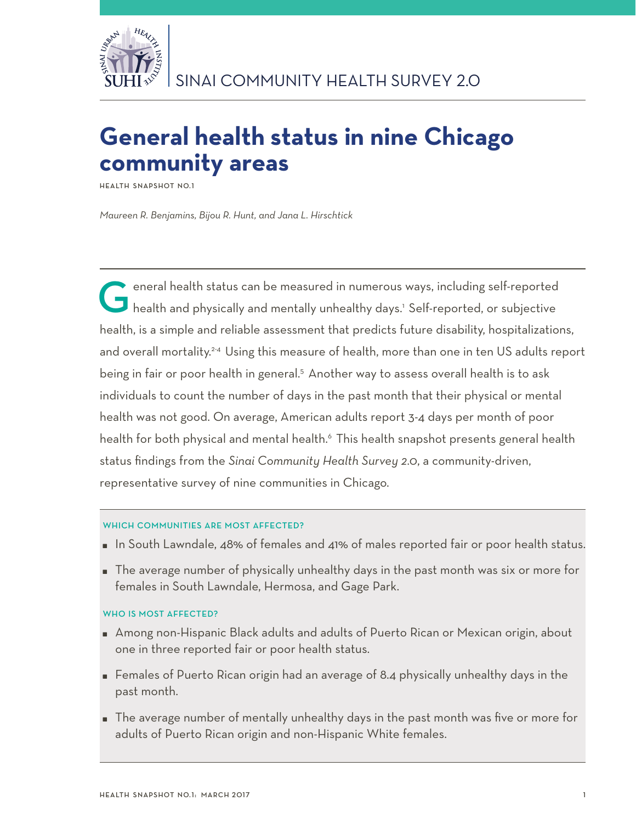

# **General health status in nine Chicago community areas**

**Health Snapshot No.1**

*Maureen R. Benjamins, Bijou R. Hunt, and Jana L. Hirschtick*

General health status can be measured in numerous ways, including self-reported<br>health and physically and mentally unhealthy days.<sup>1</sup> Self-reported, or subjective health, is a simple and reliable assessment that predicts future disability, hospitalizations, and overall mortality.<sup>2-4</sup> Using this measure of health, more than one in ten US adults report being in fair or poor health in general.<sup>5</sup> Another way to assess overall health is to ask individuals to count the number of days in the past month that their physical or mental health was not good. On average, American adults report 3-4 days per month of poor health for both physical and mental health.<sup>6</sup> This health snapshot presents general health status findings from the *Sinai Community Health Survey 2.0*, a community-driven, representative survey of nine communities in Chicago.

## WHICH COMMUNITIES ARE MOST AFFECTED?

- In South Lawndale, 48% of females and 41% of males reported fair or poor health status.
- The average number of physically unhealthy days in the past month was six or more for females in South Lawndale, Hermosa, and Gage Park.

## WHO IS MOST AFFECTED?

- Among non-Hispanic Black adults and adults of Puerto Rican or Mexican origin, about one in three reported fair or poor health status.
- Females of Puerto Rican origin had an average of 8.4 physically unhealthy days in the past month.
- The average number of mentally unhealthy days in the past month was five or more for adults of Puerto Rican origin and non-Hispanic White females.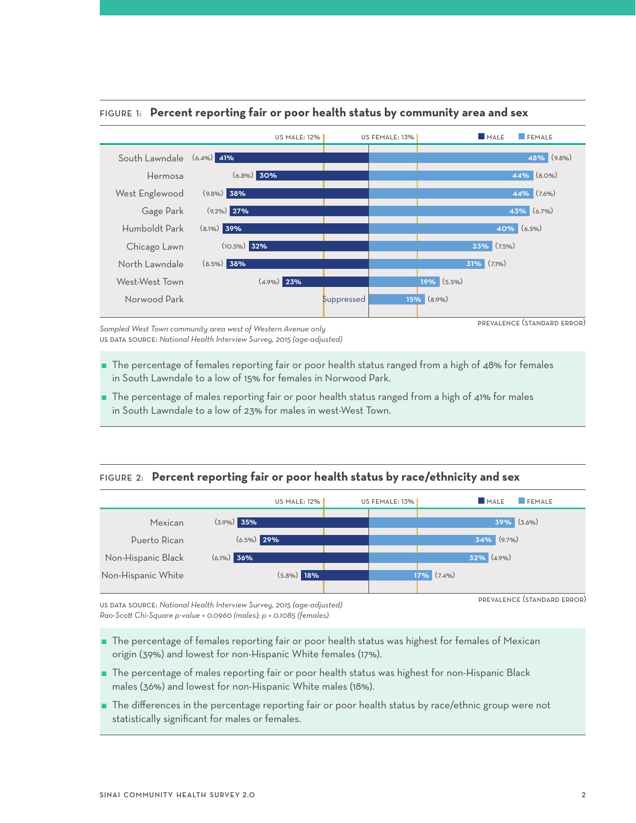

## Figure 1: **Percent reporting fair or poor health status by community area and sex**

*Sampled West Town community area west of Western Avenue only* us data source: *National Health Interview Survey, 2015 (age-adjusted)*

- The percentage of females reporting fair or poor health status ranged from a high of 48% for females in South Lawndale to a low of 15% for females in Norwood Park.
- The percentage of males reporting fair or poor health status ranged from a high of 41% for males in South Lawndale to a low of 23% for males in west-West Town.

## Figure 2: **Percent reporting fair or poor health status by race/ethnicity and sex**



us data source: *National Health Interview Survey, 2015 (age-adjusted) Rao-Scott Chi-Square p-value = 0.0960 (males); p = 0.1085 (females)*

- prevalence (standard error)
- The percentage of females reporting fair or poor health status was highest for females of Mexican origin (39%) and lowest for non-Hispanic White females (17%).
- The percentage of males reporting fair or poor health status was highest for non-Hispanic Black males (36%) and lowest for non-Hispanic White males (18%).
- The differences in the percentage reporting fair or poor health status by race/ethnic group were not statistically significant for males or females.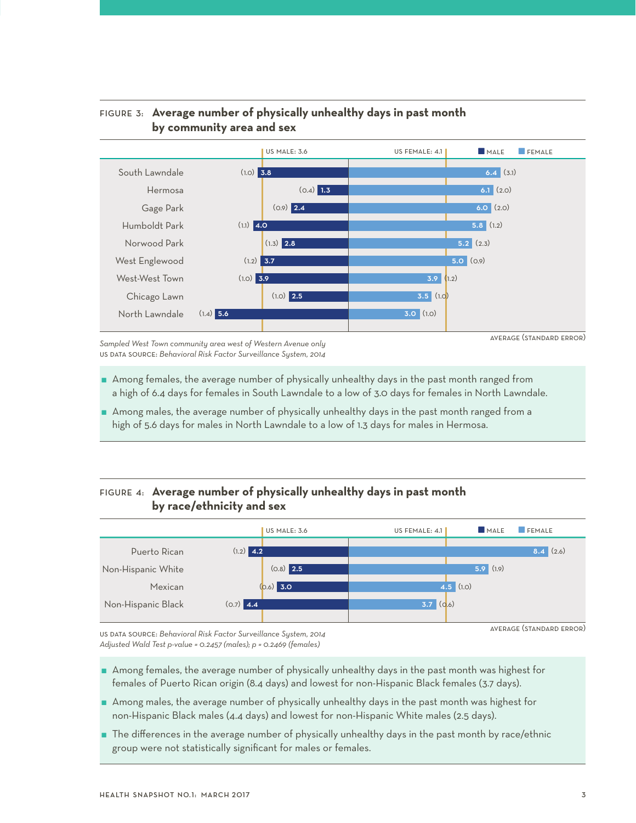

# Figure 3: **Average number of physically unhealthy days in past month by community area and sex**

*Sampled West Town community area west of Western Avenue only* us data source: *Behavioral Risk Factor Surveillance System, 2014*

- Among females, the average number of physically unhealthy days in the past month ranged from a high of 6.4 days for females in South Lawndale to a low of 3.0 days for females in North Lawndale.
- Among males, the average number of physically unhealthy days in the past month ranged from a high of 5.6 days for males in North Lawndale to a low of 1.3 days for males in Hermosa.

# Figure 4: **Average number of physically unhealthy days in past month by race/ethnicity and sex**

|                    |             | US MALE: 3.6 | US FEMALE: 4.1 | MALE          | FEMALE                   |
|--------------------|-------------|--------------|----------------|---------------|--------------------------|
| Puerto Rican       | $(1.2)$ 4.2 |              |                |               | (2.6)<br>8,4             |
| Non-Hispanic White |             | $(0.8)$ 2.5  |                | 5.9(1.9)      |                          |
| Mexican            |             | $(0.6)$ 3.0  |                | 4.5 $(1.0)$   |                          |
| Non-Hispanic Black | $(0.7)$ 4.4 |              | 3.7            | $\big($ (0.6) |                          |
|                    |             |              |                |               | AVERAGE (STANDARD ERROR) |

us data source: *Behavioral Risk Factor Surveillance System, 2014 Adjusted Wald Test p-value = 0.2457 (males); p = 0.2469 (females)*

- Among females, the average number of physically unhealthy days in the past month was highest for females of Puerto Rican origin (8.4 days) and lowest for non-Hispanic Black females (3.7 days).
- Among males, the average number of physically unhealthy days in the past month was highest for non-Hispanic Black males (4.4 days) and lowest for non-Hispanic White males (2.5 days).
- The differences in the average number of physically unhealthy days in the past month by race/ethnic group were not statistically significant for males or females.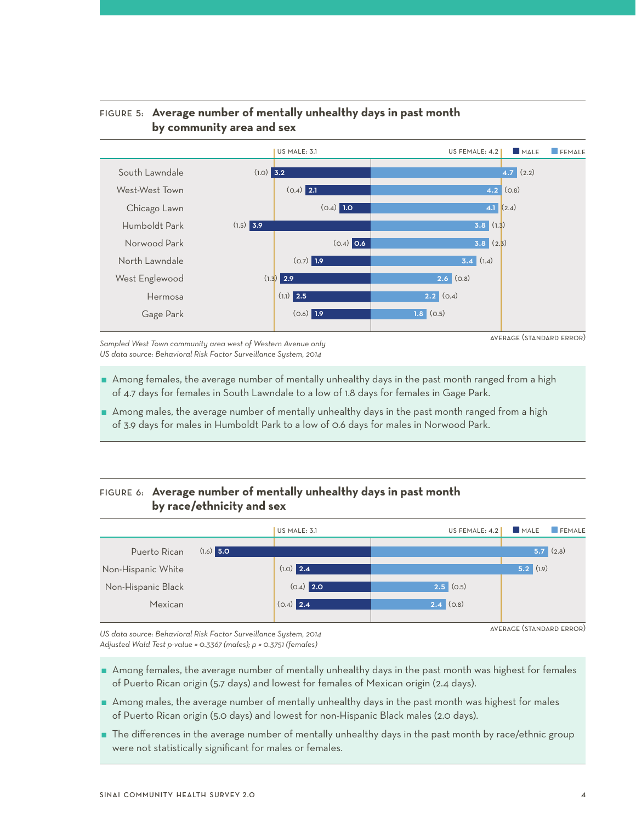

## Figure 5: **Average number of mentally unhealthy days in past month by community area and sex**

*Sampled West Town community area west of Western Avenue only US data source: Behavioral Risk Factor Surveillance System, 2014*

- Among females, the average number of mentally unhealthy days in the past month ranged from a high of 4.7 days for females in South Lawndale to a low of 1.8 days for females in Gage Park.
- Among males, the average number of mentally unhealthy days in the past month ranged from a high of 3.9 days for males in Humboldt Park to a low of 0.6 days for males in Norwood Park.

# Figure 6: **Average number of mentally unhealthy days in past month by race/ethnicity and sex**

|                    |             | US MALE: 3.1 | US FEMALE: 4.2 | MALE        | FEMALE      |
|--------------------|-------------|--------------|----------------|-------------|-------------|
| Puerto Rican       | $(1.6)$ 5.0 |              |                |             | $5.7$ (2.8) |
| Non-Hispanic White |             | $(1.0)$ 2.4  |                | $5.2$ (1.9) |             |
| Non-Hispanic Black |             | $(0.4)$ 2.0  | $2.5$ (0.5)    |             |             |
| Mexican            |             | $(0.4)$ 2.4  | $2.4$ (0.8)    |             |             |
|                    |             |              |                |             |             |

average (standard error)

*US data source: Behavioral Risk Factor Surveillance System, 2014 Adjusted Wald Test p-value = 0.3367 (males); p = 0.3751 (females)*

- Among females, the average number of mentally unhealthy days in the past month was highest for females of Puerto Rican origin (5.7 days) and lowest for females of Mexican origin (2.4 days).
- Among males, the average number of mentally unhealthy days in the past month was highest for males of Puerto Rican origin (5.0 days) and lowest for non-Hispanic Black males (2.0 days).
- $\blacksquare$  The differences in the average number of mentally unhealthy days in the past month by race/ethnic group were not statistically significant for males or females.